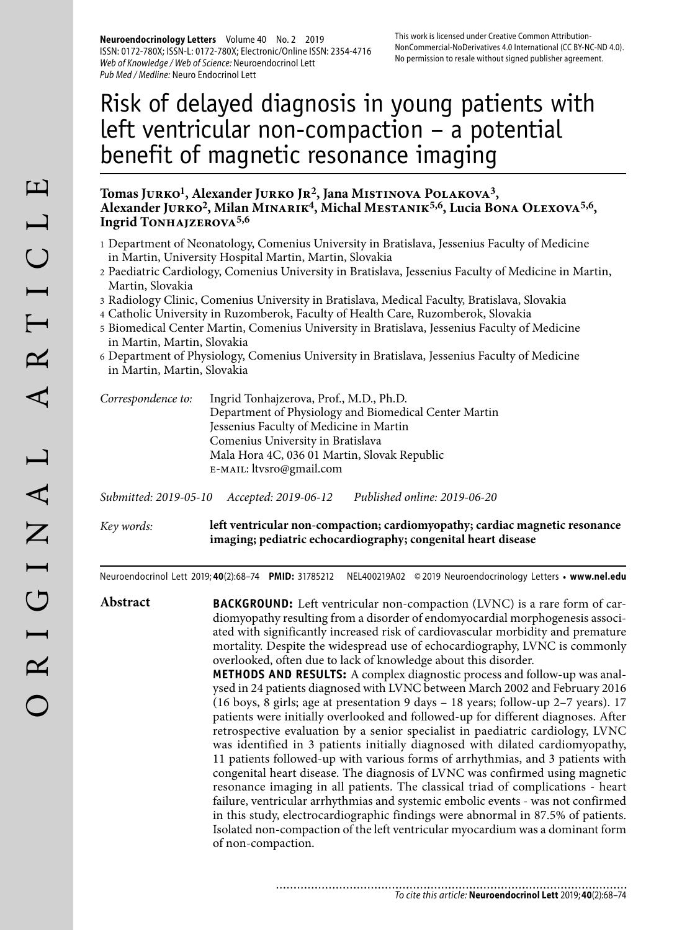**Neuroendocrinology Letters** Volume 40 No. 2 2019 ISSN: 0172-780X; ISSN-L: 0172-780X; Electronic/Online ISSN: 2354-4716 Web of Knowledge / Web of Science: Neuroendocrinol Lett Pub Med / Medline: Neuro Endocrinol Lett

# Risk of delayed diagnosis in young patients with left ventricular non-compaction – a potential benefit of magnetic resonance imaging

## **Tomas Jurko1, Alexander Jurko Jr2, Jana Mistinova Polakova3, Alexander Jurko2, Milan Minarik4, Michal Mestanik5,6, Lucia Bona Olexova5,6,**  Ingrid TONHAJZEROVA<sup>5,6</sup>

- 1 Department of Neonatology, Comenius University in Bratislava, Jessenius Faculty of Medicine in Martin, University Hospital Martin, Martin, Slovakia
- 2 Paediatric Cardiology, Comenius University in Bratislava, Jessenius Faculty of Medicine in Martin, Martin, Slovakia
- 3 Radiology Clinic, Comenius University in Bratislava, Medical Faculty, Bratislava, Slovakia
- 4 Catholic University in Ruzomberok, Faculty of Health Care, Ruzomberok, Slovakia
- 5 Biomedical Center Martin, Comenius University in Bratislava, Jessenius Faculty of Medicine in Martin, Martin, Slovakia
- 6 Department of Physiology, Comenius University in Bratislava, Jessenius Faculty of Medicine in Martin, Martin, Slovakia

| Correspondence to: | Ingrid Tonhajzerova, Prof., M.D., Ph.D.               |
|--------------------|-------------------------------------------------------|
|                    | Department of Physiology and Biomedical Center Martin |
|                    | Jessenius Faculty of Medicine in Martin               |
|                    | Comenius University in Bratislava                     |
|                    | Mala Hora 4C, 036 01 Martin, Slovak Republic          |
|                    | E-MAIL: ltvsro@gmail.com                              |

*Submitted: 2019-05-10 Accepted: 2019-06-12 Published online: 2019-06-20*

*Key words:* **left ventricular non-compaction; cardiomyopathy; cardiac magnetic resonance imaging; pediatric echocardiography; congenital heart disease** 

Neuroendocrinol Lett 2019; **40**(2):68–74 **PMID:** 31785212 NEL400219A02 © 2019 Neuroendocrinology Letters • **www.nel.edu**

**Abstract BACKGROUND:** Left ventricular non-compaction (LVNC) is a rare form of cardiomyopathy resulting from a disorder of endomyocardial morphogenesis associated with significantly increased risk of cardiovascular morbidity and premature mortality. Despite the widespread use of echocardiography, LVNC is commonly overlooked, often due to lack of knowledge about this disorder. **METHODS AND RESULTS:** A complex diagnostic process and follow-up was analysed in 24 patients diagnosed with LVNC between March 2002 and February 2016 (16 boys, 8 girls; age at presentation 9 days – 18 years; follow-up 2–7 years). 17 patients were initially overlooked and followed-up for different diagnoses. After retrospective evaluation by a senior specialist in paediatric cardiology, LVNC was identified in 3 patients initially diagnosed with dilated cardiomyopathy,

11 patients followed-up with various forms of arrhythmias, and 3 patients with congenital heart disease. The diagnosis of LVNC was confirmed using magnetic resonance imaging in all patients. The classical triad of complications - heart failure, ventricular arrhythmias and systemic embolic events - was not confirmed in this study, electrocardiographic findings were abnormal in 87.5% of patients. Isolated non-compaction of the left ventricular myocardium was a dominant form of non-compaction.

.............................. To cite this article: **Neuroendocrinol Lett** 2019; **40**(2):68–74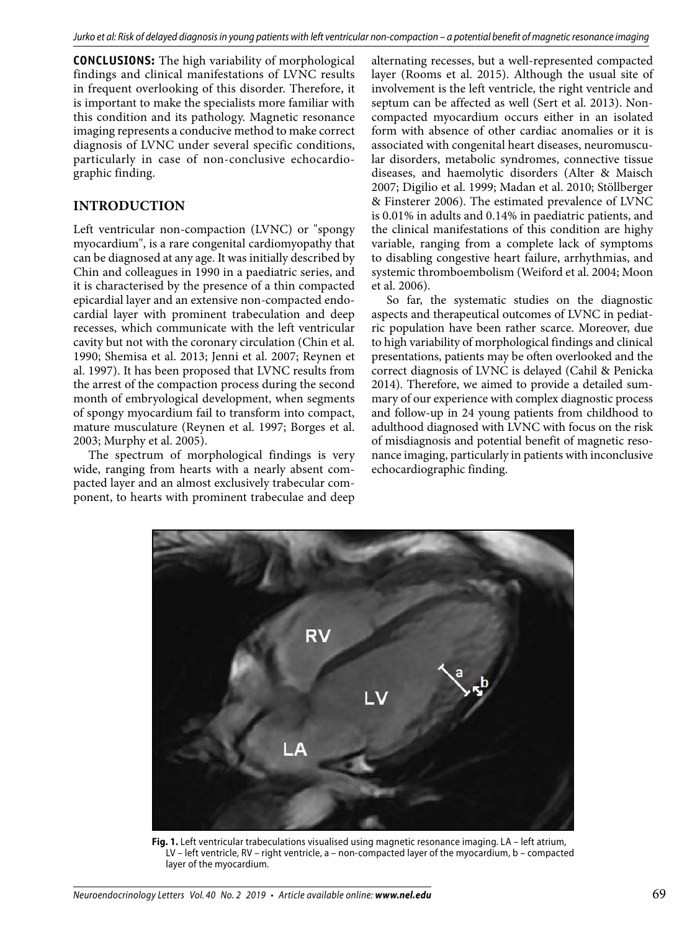**CONCLUSIONS:** The high variability of morphological findings and clinical manifestations of LVNC results in frequent overlooking of this disorder. Therefore, it is important to make the specialists more familiar with this condition and its pathology. Magnetic resonance imaging represents a conducive method to make correct diagnosis of LVNC under several specific conditions, particularly in case of non-conclusive echocardiographic finding.

## **INTRODUCTION**

Left ventricular non-compaction (LVNC) or "spongy myocardium", is a rare congenital cardiomyopathy that can be diagnosed at any age. It was initially described by Chin and colleagues in 1990 in a paediatric series, and it is characterised by the presence of a thin compacted epicardial layer and an extensive non-compacted endocardial layer with prominent trabeculation and deep recesses, which communicate with the left ventricular cavity but not with the coronary circulation (Chin et al. 1990; Shemisa et al. 2013; Jenni et al. 2007; Reynen et al. 1997). It has been proposed that LVNC results from the arrest of the compaction process during the second month of embryological development, when segments of spongy myocardium fail to transform into compact, mature musculature (Reynen et al. 1997; Borges et al. 2003; Murphy et al. 2005).

The spectrum of morphological findings is very wide, ranging from hearts with a nearly absent compacted layer and an almost exclusively trabecular component, to hearts with prominent trabeculae and deep alternating recesses, but a well-represented compacted layer (Rooms et al. 2015). Although the usual site of involvement is the left ventricle, the right ventricle and septum can be affected as well (Sert et al. 2013). Noncompacted myocardium occurs either in an isolated form with absence of other cardiac anomalies or it is associated with congenital heart diseases, neuromuscular disorders, metabolic syndromes, connective tissue diseases, and haemolytic disorders (Alter & Maisch 2007; Digilio et al. 1999; Madan et al. 2010; Stöllberger & Finsterer 2006). The estimated prevalence of LVNC is 0.01% in adults and 0.14% in paediatric patients, and the clinical manifestations of this condition are highy variable, ranging from a complete lack of symptoms to disabling congestive heart failure, arrhythmias, and systemic thromboembolism (Weiford et al. 2004; Moon et al. 2006).

So far, the systematic studies on the diagnostic aspects and therapeutical outcomes of LVNC in pediatric population have been rather scarce. Moreover, due to high variability of morphological findings and clinical presentations, patients may be often overlooked and the correct diagnosis of LVNC is delayed (Cahil & Penicka 2014). Therefore, we aimed to provide a detailed summary of our experience with complex diagnostic process and follow-up in 24 young patients from childhood to adulthood diagnosed with LVNC with focus on the risk of misdiagnosis and potential benefit of magnetic resonance imaging, particularly in patients with inconclusive echocardiographic finding.



**Fig. 1.** Left ventricular trabeculations visualised using magnetic resonance imaging. LA – left atrium, LV – left ventricle, RV – right ventricle, a – non-compacted layer of the myocardium, b – compacted layer of the myocardium.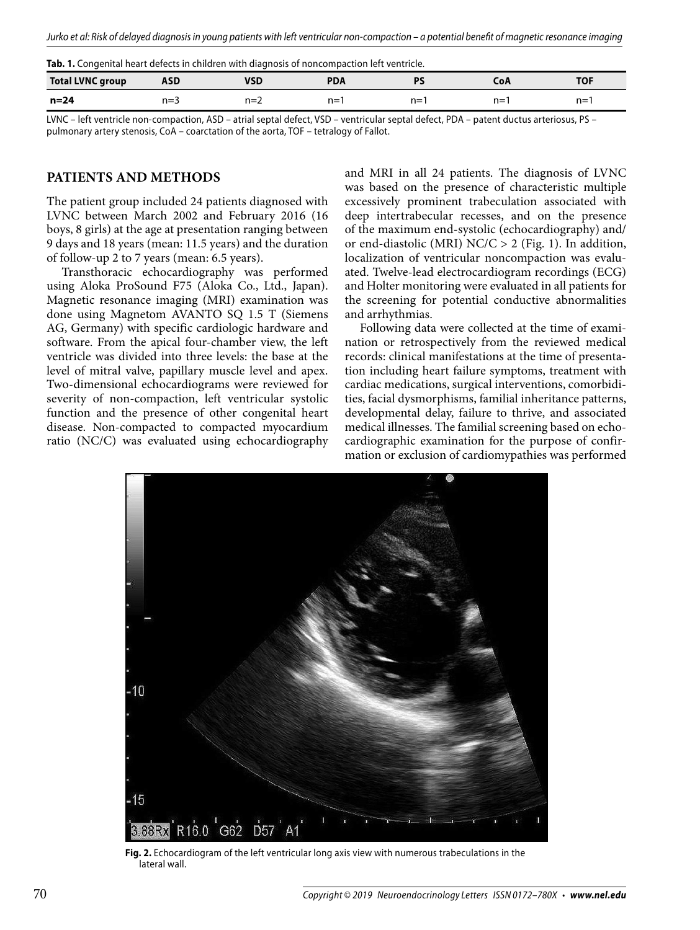**Tab. 1.** Congenital heart defects in children with diagnosis of noncompaction left ventricle.

| <b>Total LVNC group</b> | ASD     | VSD   | <b>PDA</b> |       | CoA   | <b>TOF</b> |
|-------------------------|---------|-------|------------|-------|-------|------------|
| $n=24$                  | $n = 3$ | $n=2$ | $n =$      | $n =$ | $n =$ | $n = 7$    |

LVNC – left ventricle non-compaction, ASD – atrial septal defect, VSD – ventricular septal defect, PDA – patent ductus arteriosus, PS – pulmonary artery stenosis, CoA – coarctation of the aorta, TOF – tetralogy of Fallot.

#### **PATIENTS AND METHODS**

The patient group included 24 patients diagnosed with LVNC between March 2002 and February 2016 (16 boys, 8 girls) at the age at presentation ranging between 9 days and 18 years (mean: 11.5 years) and the duration of follow-up 2 to 7 years (mean: 6.5 years).

Transthoracic echocardiography was performed using Aloka ProSound F75 (Aloka Co., Ltd., Japan). Magnetic resonance imaging (MRI) examination was done using Magnetom AVANTO SQ 1.5 T (Siemens AG, Germany) with specific cardiologic hardware and software. From the apical four-chamber view, the left ventricle was divided into three levels: the base at the level of mitral valve, papillary muscle level and apex. Two-dimensional echocardiograms were reviewed for severity of non-compaction, left ventricular systolic function and the presence of other congenital heart disease. Non-compacted to compacted myocardium ratio (NC/C) was evaluated using echocardiography

and MRI in all 24 patients. The diagnosis of LVNC was based on the presence of characteristic multiple excessively prominent trabeculation associated with deep intertrabecular recesses, and on the presence of the maximum end-systolic (echocardiography) and/ or end-diastolic (MRI)  $NC/C > 2$  (Fig. 1). In addition, localization of ventricular noncompaction was evaluated. Twelve-lead electrocardiogram recordings (ECG) and Holter monitoring were evaluated in all patients for the screening for potential conductive abnormalities and arrhythmias.

Following data were collected at the time of examination or retrospectively from the reviewed medical records: clinical manifestations at the time of presentation including heart failure symptoms, treatment with cardiac medications, surgical interventions, comorbidities, facial dysmorphisms, familial inheritance patterns, developmental delay, failure to thrive, and associated medical illnesses. The familial screening based on echocardiographic examination for the purpose of confirmation or exclusion of cardiomypathies was performed



**Fig. 2.** Echocardiogram of the left ventricular long axis view with numerous trabeculations in the lateral wall.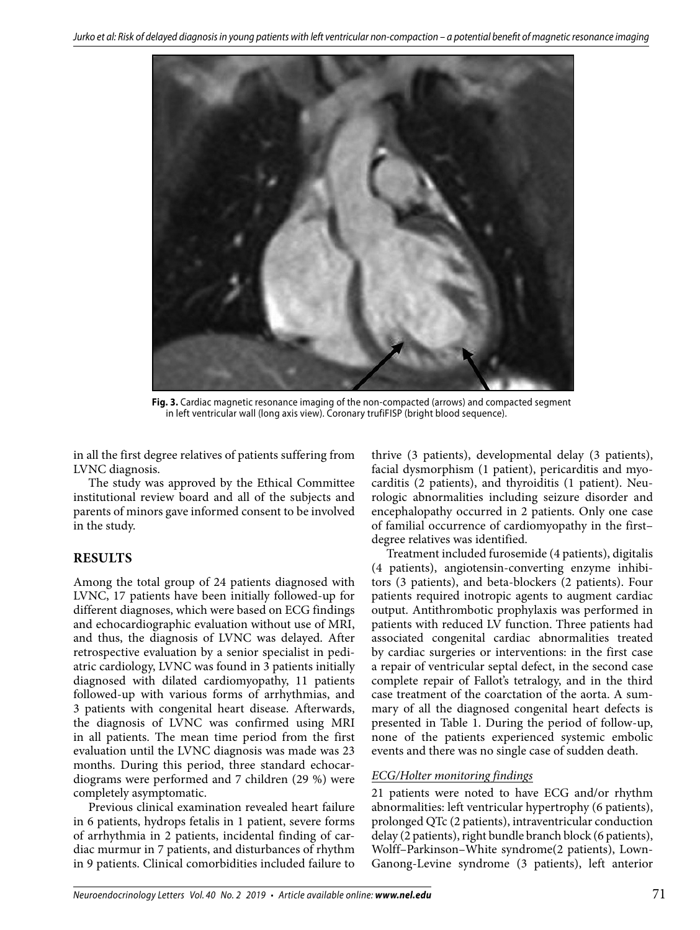

**Fig. 3.** Cardiac magnetic resonance imaging of the non-compacted (arrows) and compacted segment in left ventricular wall (long axis view). Coronary trufiFISP (bright blood sequence).

in all the first degree relatives of patients suffering from LVNC diagnosis.

The study was approved by the Ethical Committee institutional review board and all of the subjects and parents of minors gave informed consent to be involved in the study.

## **RESULTS**

Among the total group of 24 patients diagnosed with LVNC, 17 patients have been initially followed-up for different diagnoses, which were based on ECG findings and echocardiographic evaluation without use of MRI, and thus, the diagnosis of LVNC was delayed. After retrospective evaluation by a senior specialist in pediatric cardiology, LVNC was found in 3 patients initially diagnosed with dilated cardiomyopathy, 11 patients followed-up with various forms of arrhythmias, and 3 patients with congenital heart disease. Afterwards, the diagnosis of LVNC was confirmed using MRI in all patients. The mean time period from the first evaluation until the LVNC diagnosis was made was 23 months. During this period, three standard echocardiograms were performed and 7 children (29 %) were completely asymptomatic.

Previous clinical examination revealed heart failure in 6 patients, hydrops fetalis in 1 patient, severe forms of arrhythmia in 2 patients, incidental finding of cardiac murmur in 7 patients, and disturbances of rhythm in 9 patients. Clinical comorbidities included failure to

thrive (3 patients), developmental delay (3 patients), facial dysmorphism (1 patient), pericarditis and myocarditis (2 patients), and thyroiditis (1 patient). Neurologic abnormalities including seizure disorder and encephalopathy occurred in 2 patients. Only one case of familial occurrence of cardiomyopathy in the first– degree relatives was identified.

Treatment included furosemide (4 patients), digitalis (4 patients), angiotensin-converting enzyme inhibitors (3 patients), and beta-blockers (2 patients). Four patients required inotropic agents to augment cardiac output. Antithrombotic prophylaxis was performed in patients with reduced LV function. Three patients had associated congenital cardiac abnormalities treated by cardiac surgeries or interventions: in the first case a repair of ventricular septal defect, in the second case complete repair of Fallot's tetralogy, and in the third case treatment of the coarctation of the aorta. A summary of all the diagnosed congenital heart defects is presented in Table 1. During the period of follow-up, none of the patients experienced systemic embolic events and there was no single case of sudden death.

## *ECG/Holter monitoring findings*

21 patients were noted to have ECG and/or rhythm abnormalities: left ventricular hypertrophy (6 patients), prolonged QTc (2 patients), intraventricular conduction delay (2 patients), right bundle branch block (6 patients), Wolff–Parkinson–White syndrome(2 patients), Lown-Ganong-Levine syndrome (3 patients), left anterior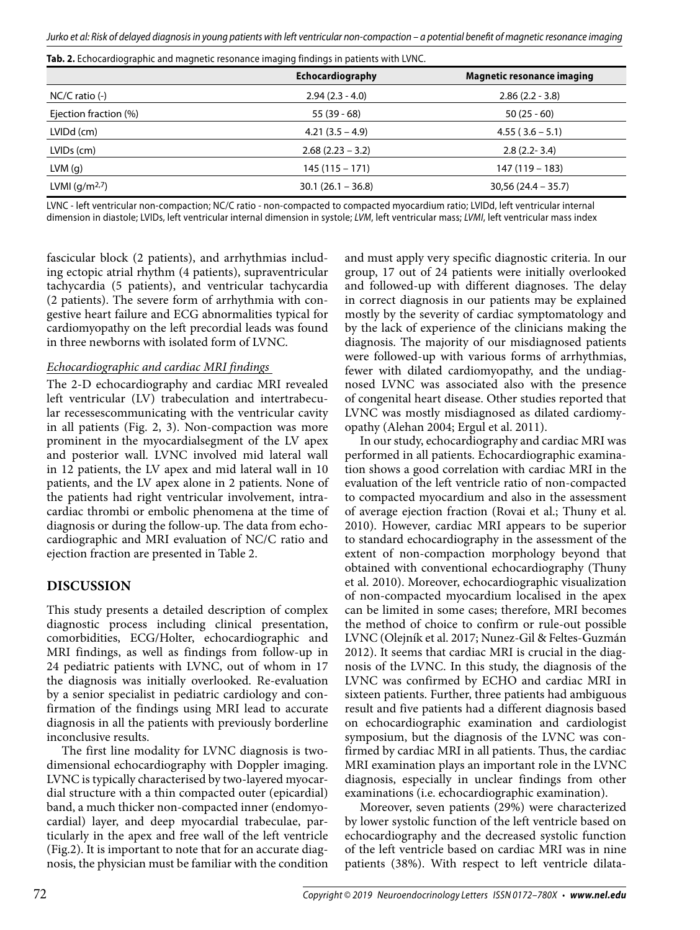|                        | Echocardiography     | <b>Magnetic resonance imaging</b> |
|------------------------|----------------------|-----------------------------------|
| $NC/C$ ratio $(-)$     | $2.94(2.3 - 4.0)$    | $2.86(2.2 - 3.8)$                 |
| Ejection fraction (%)  | $55(39-68)$          | $50(25-60)$                       |
| LVIDd (cm)             | $4.21(3.5 - 4.9)$    | $4.55(3.6-5.1)$                   |
| LVID <sub>s</sub> (cm) | $2.68(2.23 - 3.2)$   | $2.8(2.2 - 3.4)$                  |
| LVM(g)                 | $145(115 - 171)$     | 147 (119 – 183)                   |
| LVMI $(g/m2,7)$        | $30.1 (26.1 - 36.8)$ | $30,56(24.4 - 35.7)$              |

**Tab. 2.** Echocardiographic and magnetic resonance imaging findings in patients with LVNC.

LVNC - left ventricular non-compaction; NC/C ratio - non-compacted to compacted myocardium ratio; LVIDd, left ventricular internal dimension in diastole; LVIDs, left ventricular internal dimension in systole; LVM, left ventricular mass; LVMI, left ventricular mass index

fascicular block (2 patients), and arrhythmias including ectopic atrial rhythm (4 patients), supraventricular tachycardia (5 patients), and ventricular tachycardia (2 patients). The severe form of arrhythmia with congestive heart failure and ECG abnormalities typical for cardiomyopathy on the left precordial leads was found in three newborns with isolated form of LVNC.

## *Echocardiographic and cardiac MRI findings*

The 2-D echocardiography and cardiac MRI revealed left ventricular (LV) trabeculation and intertrabecular recessescommunicating with the ventricular cavity in all patients (Fig. 2, 3). Non-compaction was more prominent in the myocardialsegment of the LV apex and posterior wall. LVNC involved mid lateral wall in 12 patients, the LV apex and mid lateral wall in 10 patients, and the LV apex alone in 2 patients. None of the patients had right ventricular involvement, intracardiac thrombi or embolic phenomena at the time of diagnosis or during the follow-up. The data from echocardiographic and MRI evaluation of NC/C ratio and ejection fraction are presented in Table 2.

#### **DISCUSSION**

This study presents a detailed description of complex diagnostic process including clinical presentation, comorbidities, ECG/Holter, echocardiographic and MRI findings, as well as findings from follow-up in 24 pediatric patients with LVNC, out of whom in 17 the diagnosis was initially overlooked. Re-evaluation by a senior specialist in pediatric cardiology and confirmation of the findings using MRI lead to accurate diagnosis in all the patients with previously borderline inconclusive results.

The first line modality for LVNC diagnosis is twodimensional echocardiography with Doppler imaging. LVNC is typically characterised by two-layered myocardial structure with a thin compacted outer (epicardial) band, a much thicker non-compacted inner (endomyocardial) layer, and deep myocardial trabeculae, particularly in the apex and free wall of the left ventricle (Fig.2). It is important to note that for an accurate diagnosis, the physician must be familiar with the condition

and must apply very specific diagnostic criteria. In our group, 17 out of 24 patients were initially overlooked and followed-up with different diagnoses. The delay in correct diagnosis in our patients may be explained mostly by the severity of cardiac symptomatology and by the lack of experience of the clinicians making the diagnosis. The majority of our misdiagnosed patients were followed-up with various forms of arrhythmias, fewer with dilated cardiomyopathy, and the undiagnosed LVNC was associated also with the presence of congenital heart disease. Other studies reported that LVNC was mostly misdiagnosed as dilated cardiomyopathy (Alehan 2004; Ergul et al. 2011).

In our study, echocardiography and cardiac MRI was performed in all patients. Echocardiographic examination shows a good correlation with cardiac MRI in the evaluation of the left ventricle ratio of non-compacted to compacted myocardium and also in the assessment of average ejection fraction (Rovai et al.; Thuny et al. 2010). However, cardiac MRI appears to be superior to standard echocardiography in the assessment of the extent of non-compaction morphology beyond that obtained with conventional echocardiography (Thuny et al. 2010). Moreover, echocardiographic visualization of non-compacted myocardium localised in the apex can be limited in some cases; therefore, MRI becomes the method of choice to confirm or rule-out possible LVNC (Olejník et al. 2017; Nunez-Gil & Feltes-Guzmán 2012). It seems that cardiac MRI is crucial in the diagnosis of the LVNC. In this study, the diagnosis of the LVNC was confirmed by ECHO and cardiac MRI in sixteen patients. Further, three patients had ambiguous result and five patients had a different diagnosis based on echocardiographic examination and cardiologist symposium, but the diagnosis of the LVNC was confirmed by cardiac MRI in all patients. Thus, the cardiac MRI examination plays an important role in the LVNC diagnosis, especially in unclear findings from other examinations (i.e. echocardiographic examination).

Moreover, seven patients (29%) were characterized by lower systolic function of the left ventricle based on echocardiography and the decreased systolic function of the left ventricle based on cardiac MRI was in nine patients (38%). With respect to left ventricle dilata-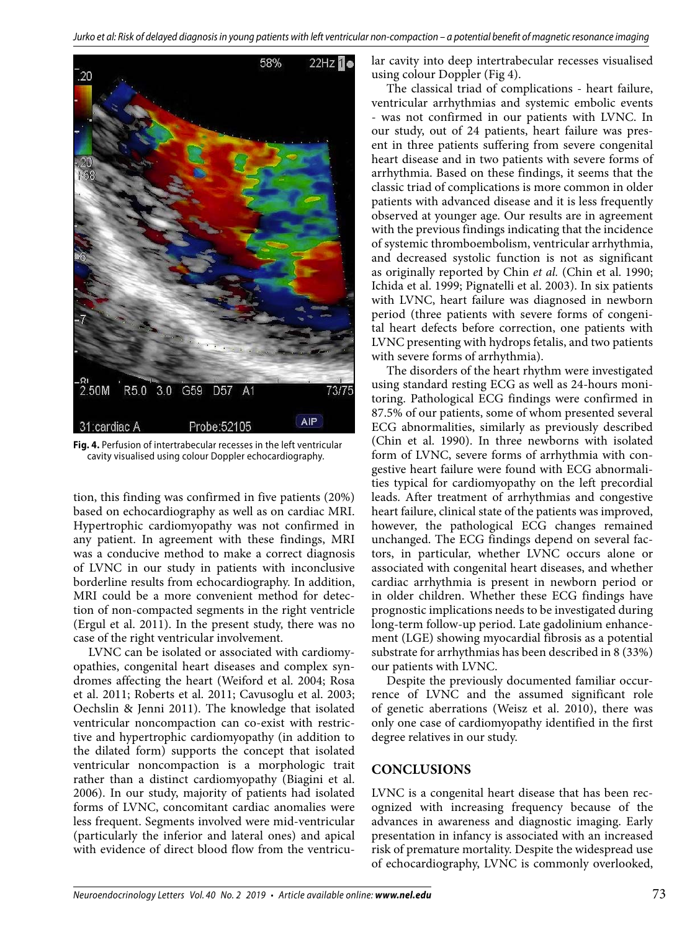

**Fig. 4.** Perfusion of intertrabecular recesses in the left ventricular cavity visualised using colour Doppler echocardiography.

tion, this finding was confirmed in five patients (20%) based on echocardiography as well as on cardiac MRI. Hypertrophic cardiomyopathy was not confirmed in any patient. In agreement with these findings, MRI was a conducive method to make a correct diagnosis of LVNC in our study in patients with inconclusive borderline results from echocardiography. In addition, MRI could be a more convenient method for detection of non-compacted segments in the right ventricle (Ergul et al. 2011). In the present study, there was no case of the right ventricular involvement.

LVNC can be isolated or associated with cardiomyopathies, congenital heart diseases and complex syndromes affecting the heart (Weiford et al. 2004; Rosa et al. 2011; Roberts et al. 2011; Cavusoglu et al. 2003; Oechslin & Jenni 2011). The knowledge that isolated ventricular noncompaction can co-exist with restrictive and hypertrophic cardiomyopathy (in addition to the dilated form) supports the concept that isolated ventricular noncompaction is a morphologic trait rather than a distinct cardiomyopathy (Biagini et al. 2006). In our study, majority of patients had isolated forms of LVNC, concomitant cardiac anomalies were less frequent. Segments involved were mid-ventricular (particularly the inferior and lateral ones) and apical with evidence of direct blood flow from the ventricular cavity into deep intertrabecular recesses visualised using colour Doppler (Fig 4).

The classical triad of complications - heart failure, ventricular arrhythmias and systemic embolic events - was not confirmed in our patients with LVNC. In our study, out of 24 patients, heart failure was present in three patients suffering from severe congenital heart disease and in two patients with severe forms of arrhythmia. Based on these findings, it seems that the classic triad of complications is more common in older patients with advanced disease and it is less frequently observed at younger age. Our results are in agreement with the previous findings indicating that the incidence of systemic thromboembolism, ventricular arrhythmia, and decreased systolic function is not as significant as originally reported by Chin *et al.* (Chin et al. 1990; Ichida et al. 1999; Pignatelli et al. 2003). In six patients with LVNC, heart failure was diagnosed in newborn period (three patients with severe forms of congenital heart defects before correction, one patients with LVNC presenting with hydrops fetalis, and two patients with severe forms of arrhythmia).

The disorders of the heart rhythm were investigated using standard resting ECG as well as 24-hours monitoring. Pathological ECG findings were confirmed in 87.5% of our patients, some of whom presented several ECG abnormalities, similarly as previously described (Chin et al. 1990). In three newborns with isolated form of LVNC, severe forms of arrhythmia with congestive heart failure were found with ECG abnormalities typical for cardiomyopathy on the left precordial leads. After treatment of arrhythmias and congestive heart failure, clinical state of the patients was improved, however, the pathological ECG changes remained unchanged. The ECG findings depend on several factors, in particular, whether LVNC occurs alone or associated with congenital heart diseases, and whether cardiac arrhythmia is present in newborn period or in older children. Whether these ECG findings have prognostic implications needs to be investigated during long-term follow-up period. Late gadolinium enhancement (LGE) showing myocardial fibrosis as a potential substrate for arrhythmias has been described in 8 (33%) our patients with LVNC.

Despite the previously documented familiar occurrence of LVNC and the assumed significant role of genetic aberrations (Weisz et al. 2010), there was only one case of cardiomyopathy identified in the first degree relatives in our study.

## **CONCLUSIONS**

LVNC is a congenital heart disease that has been recognized with increasing frequency because of the advances in awareness and diagnostic imaging. Early presentation in infancy is associated with an increased risk of premature mortality. Despite the widespread use of echocardiography, LVNC is commonly overlooked,